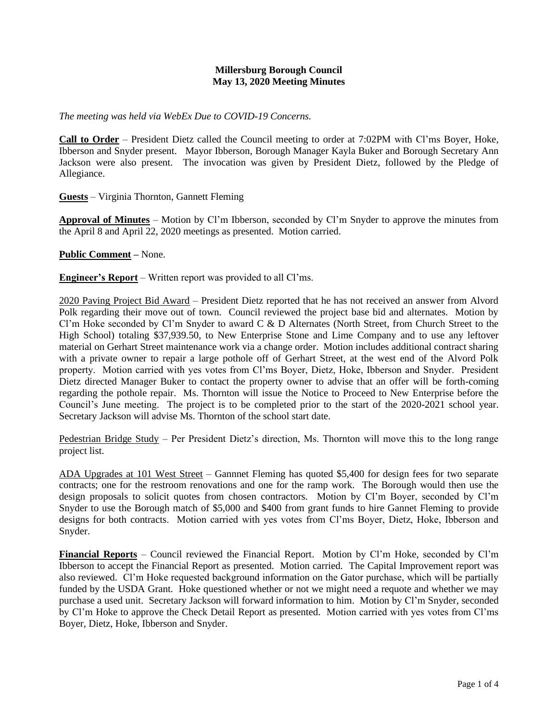## **Millersburg Borough Council May 13, 2020 Meeting Minutes**

*The meeting was held via WebEx Due to COVID-19 Concerns.*

**Call to Order** – President Dietz called the Council meeting to order at 7:02PM with Cl'ms Boyer, Hoke, Ibberson and Snyder present. Mayor Ibberson, Borough Manager Kayla Buker and Borough Secretary Ann Jackson were also present. The invocation was given by President Dietz, followed by the Pledge of Allegiance.

**Guests** – Virginia Thornton, Gannett Fleming

**Approval of Minutes** – Motion by Cl'm Ibberson, seconded by Cl'm Snyder to approve the minutes from the April 8 and April 22, 2020 meetings as presented. Motion carried.

**Public Comment –** None.

**Engineer's Report** – Written report was provided to all Cl'ms.

2020 Paving Project Bid Award – President Dietz reported that he has not received an answer from Alvord Polk regarding their move out of town. Council reviewed the project base bid and alternates. Motion by Cl'm Hoke seconded by Cl'm Snyder to award C & D Alternates (North Street, from Church Street to the High School) totaling \$37,939.50, to New Enterprise Stone and Lime Company and to use any leftover material on Gerhart Street maintenance work via a change order. Motion includes additional contract sharing with a private owner to repair a large pothole off of Gerhart Street, at the west end of the Alvord Polk property. Motion carried with yes votes from Cl'ms Boyer, Dietz, Hoke, Ibberson and Snyder. President Dietz directed Manager Buker to contact the property owner to advise that an offer will be forth-coming regarding the pothole repair. Ms. Thornton will issue the Notice to Proceed to New Enterprise before the Council's June meeting. The project is to be completed prior to the start of the 2020-2021 school year. Secretary Jackson will advise Ms. Thornton of the school start date.

Pedestrian Bridge Study – Per President Dietz's direction, Ms. Thornton will move this to the long range project list.

ADA Upgrades at 101 West Street – Gannnet Fleming has quoted \$5,400 for design fees for two separate contracts; one for the restroom renovations and one for the ramp work. The Borough would then use the design proposals to solicit quotes from chosen contractors. Motion by Cl'm Boyer, seconded by Cl'm Snyder to use the Borough match of \$5,000 and \$400 from grant funds to hire Gannet Fleming to provide designs for both contracts. Motion carried with yes votes from Cl'ms Boyer, Dietz, Hoke, Ibberson and Snyder.

**Financial Reports** – Council reviewed the Financial Report. Motion by Cl'm Hoke, seconded by Cl'm Ibberson to accept the Financial Report as presented. Motion carried. The Capital Improvement report was also reviewed. Cl'm Hoke requested background information on the Gator purchase, which will be partially funded by the USDA Grant. Hoke questioned whether or not we might need a requote and whether we may purchase a used unit. Secretary Jackson will forward information to him. Motion by Cl'm Snyder, seconded by Cl'm Hoke to approve the Check Detail Report as presented. Motion carried with yes votes from Cl'ms Boyer, Dietz, Hoke, Ibberson and Snyder.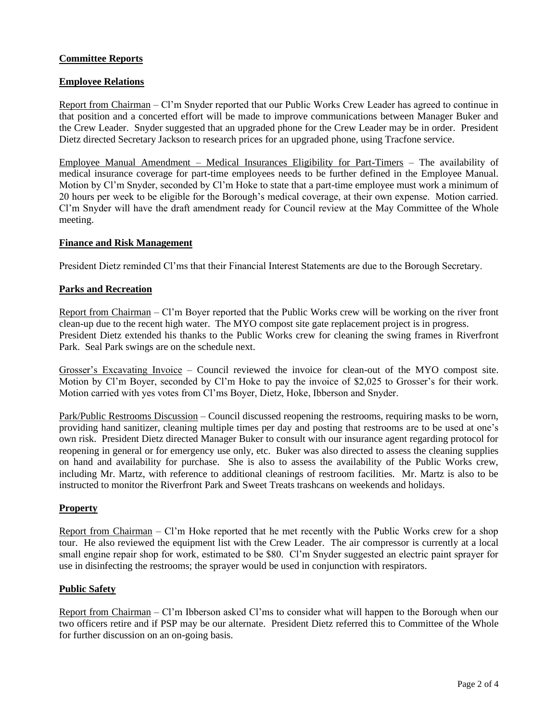## **Committee Reports**

## **Employee Relations**

Report from Chairman – Cl'm Snyder reported that our Public Works Crew Leader has agreed to continue in that position and a concerted effort will be made to improve communications between Manager Buker and the Crew Leader. Snyder suggested that an upgraded phone for the Crew Leader may be in order. President Dietz directed Secretary Jackson to research prices for an upgraded phone, using Tracfone service.

Employee Manual Amendment – Medical Insurances Eligibility for Part-Timers – The availability of medical insurance coverage for part-time employees needs to be further defined in the Employee Manual. Motion by Cl'm Snyder, seconded by Cl'm Hoke to state that a part-time employee must work a minimum of 20 hours per week to be eligible for the Borough's medical coverage, at their own expense. Motion carried. Cl'm Snyder will have the draft amendment ready for Council review at the May Committee of the Whole meeting.

#### **Finance and Risk Management**

President Dietz reminded Cl'ms that their Financial Interest Statements are due to the Borough Secretary.

#### **Parks and Recreation**

Report from Chairman – Cl'm Boyer reported that the Public Works crew will be working on the river front clean-up due to the recent high water. The MYO compost site gate replacement project is in progress. President Dietz extended his thanks to the Public Works crew for cleaning the swing frames in Riverfront Park. Seal Park swings are on the schedule next.

Grosser's Excavating Invoice – Council reviewed the invoice for clean-out of the MYO compost site. Motion by Cl'm Boyer, seconded by Cl'm Hoke to pay the invoice of \$2,025 to Grosser's for their work. Motion carried with yes votes from Cl'ms Boyer, Dietz, Hoke, Ibberson and Snyder.

Park/Public Restrooms Discussion – Council discussed reopening the restrooms, requiring masks to be worn, providing hand sanitizer, cleaning multiple times per day and posting that restrooms are to be used at one's own risk. President Dietz directed Manager Buker to consult with our insurance agent regarding protocol for reopening in general or for emergency use only, etc. Buker was also directed to assess the cleaning supplies on hand and availability for purchase. She is also to assess the availability of the Public Works crew, including Mr. Martz, with reference to additional cleanings of restroom facilities. Mr. Martz is also to be instructed to monitor the Riverfront Park and Sweet Treats trashcans on weekends and holidays.

## **Property**

Report from Chairman – Cl'm Hoke reported that he met recently with the Public Works crew for a shop tour. He also reviewed the equipment list with the Crew Leader. The air compressor is currently at a local small engine repair shop for work, estimated to be \$80. Cl'm Snyder suggested an electric paint sprayer for use in disinfecting the restrooms; the sprayer would be used in conjunction with respirators.

## **Public Safety**

Report from Chairman – Cl'm Ibberson asked Cl'ms to consider what will happen to the Borough when our two officers retire and if PSP may be our alternate. President Dietz referred this to Committee of the Whole for further discussion on an on-going basis.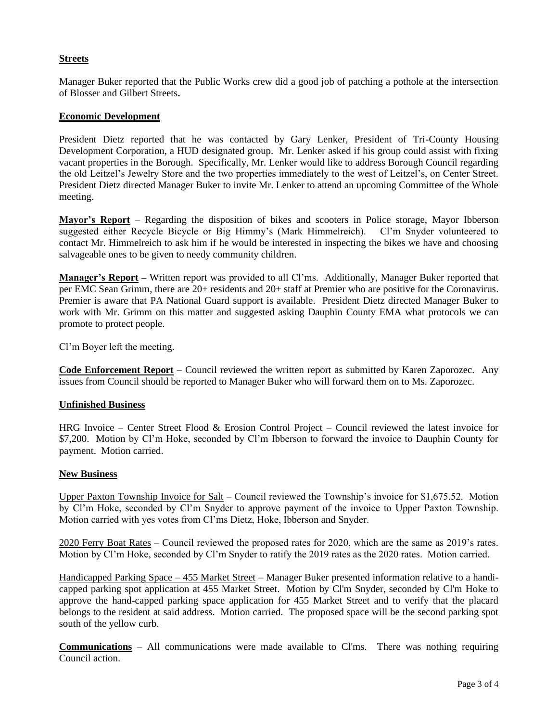## **Streets**

Manager Buker reported that the Public Works crew did a good job of patching a pothole at the intersection of Blosser and Gilbert Streets**.**

#### **Economic Development**

President Dietz reported that he was contacted by Gary Lenker, President of Tri-County Housing Development Corporation, a HUD designated group. Mr. Lenker asked if his group could assist with fixing vacant properties in the Borough. Specifically, Mr. Lenker would like to address Borough Council regarding the old Leitzel's Jewelry Store and the two properties immediately to the west of Leitzel's, on Center Street. President Dietz directed Manager Buker to invite Mr. Lenker to attend an upcoming Committee of the Whole meeting.

**Mayor's Report** – Regarding the disposition of bikes and scooters in Police storage, Mayor Ibberson suggested either Recycle Bicycle or Big Himmy's (Mark Himmelreich). Cl'm Snyder volunteered to contact Mr. Himmelreich to ask him if he would be interested in inspecting the bikes we have and choosing salvageable ones to be given to needy community children.

**Manager's Report –** Written report was provided to all Cl'ms. Additionally, Manager Buker reported that per EMC Sean Grimm, there are 20+ residents and 20+ staff at Premier who are positive for the Coronavirus. Premier is aware that PA National Guard support is available. President Dietz directed Manager Buker to work with Mr. Grimm on this matter and suggested asking Dauphin County EMA what protocols we can promote to protect people.

Cl'm Boyer left the meeting.

**Code Enforcement Report –** Council reviewed the written report as submitted by Karen Zaporozec. Any issues from Council should be reported to Manager Buker who will forward them on to Ms. Zaporozec.

## **Unfinished Business**

HRG Invoice – Center Street Flood & Erosion Control Project – Council reviewed the latest invoice for \$7,200. Motion by Cl'm Hoke, seconded by Cl'm Ibberson to forward the invoice to Dauphin County for payment. Motion carried.

#### **New Business**

Upper Paxton Township Invoice for Salt – Council reviewed the Township's invoice for \$1,675.52. Motion by Cl'm Hoke, seconded by Cl'm Snyder to approve payment of the invoice to Upper Paxton Township. Motion carried with yes votes from Cl'ms Dietz, Hoke, Ibberson and Snyder.

2020 Ferry Boat Rates – Council reviewed the proposed rates for 2020, which are the same as 2019's rates. Motion by Cl'm Hoke, seconded by Cl'm Snyder to ratify the 2019 rates as the 2020 rates. Motion carried.

Handicapped Parking Space – 455 Market Street – Manager Buker presented information relative to a handicapped parking spot application at 455 Market Street. Motion by Cl'm Snyder, seconded by Cl'm Hoke to approve the hand-capped parking space application for 455 Market Street and to verify that the placard belongs to the resident at said address. Motion carried. The proposed space will be the second parking spot south of the yellow curb.

**Communications** – All communications were made available to Cl'ms. There was nothing requiring Council action.